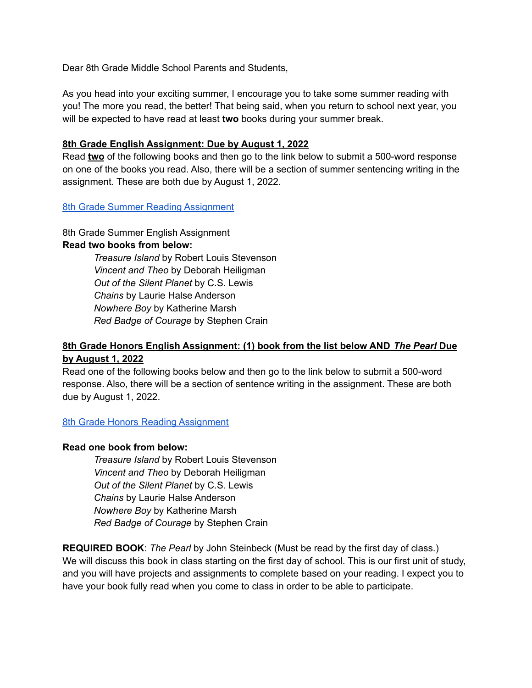Dear 8th Grade Middle School Parents and Students,

As you head into your exciting summer, I encourage you to take some summer reading with you! The more you read, the better! That being said, when you return to school next year, you will be expected to have read at least **two** books during your summer break.

## **8th Grade English Assignment: Due by August 1, 2022**

Read **two** of the following books and then go to the link below to submit a 500-word response on one of the books you read. Also, there will be a section of summer sentencing writing in the assignment. These are both due by August 1, 2022.

## 8th Grade Summer Reading [Assignment](https://docs.google.com/forms/d/1kTKbannFbM1IrdGAi8_KIpk_kbbToqMyXtaNlvSoSQg/edit?usp=sharing)

8th Grade Summer English Assignment **Read two books from below:**

> *Treasure Island* by Robert Louis Stevenson *Vincent and Theo* by Deborah Heiligman *Out of the Silent Planet* by C.S. Lewis *Chains* by Laurie Halse Anderson *Nowhere Boy* by Katherine Marsh *Red Badge of Courage* by Stephen Crain

## **8th Grade Honors English Assignment: (1) book from the list below AND** *The Pearl* **Due by August 1, 2022**

Read one of the following books below and then go to the link below to submit a 500-word response. Also, there will be a section of sentence writing in the assignment. These are both due by August 1, 2022.

8th Grade Honors Reading [Assignment](https://docs.google.com/forms/d/1-UcSfvnOmJnZwPVVpHIJ9UEqrziX7E4-99_uov7FJe4/edit?usp=sharing)

## **Read one book from below:**

*Treasure Island* by Robert Louis Stevenson *Vincent and Theo* by Deborah Heiligman *Out of the Silent Planet* by C.S. Lewis *Chains* by Laurie Halse Anderson *Nowhere Boy* by Katherine Marsh *Red Badge of Courage* by Stephen Crain

**REQUIRED BOOK**: *The Pearl* by John Steinbeck (Must be read by the first day of class.) We will discuss this book in class starting on the first day of school. This is our first unit of study, and you will have projects and assignments to complete based on your reading. I expect you to have your book fully read when you come to class in order to be able to participate.